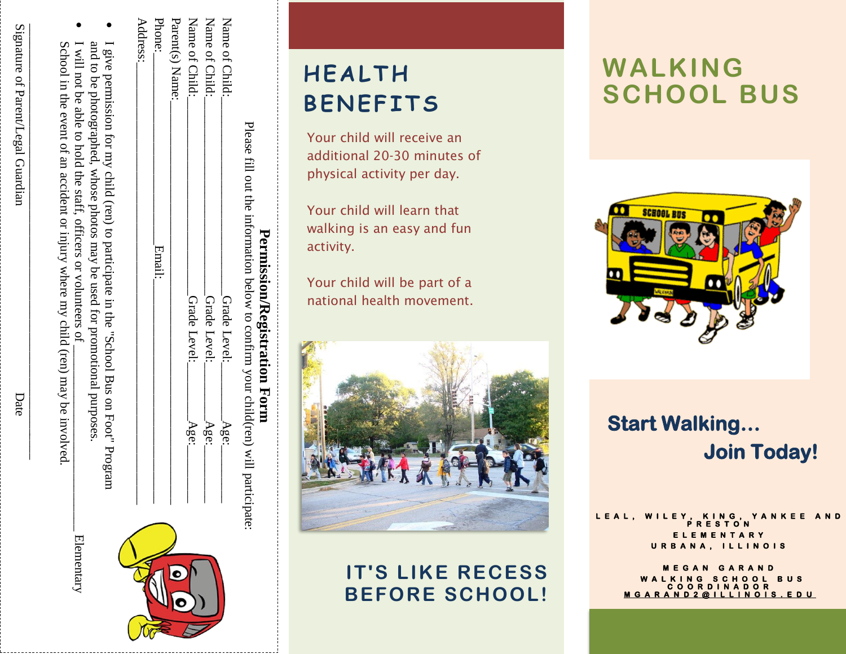| ì<br>1                                                                                                                                                                                                                        |  |
|-------------------------------------------------------------------------------------------------------------------------------------------------------------------------------------------------------------------------------|--|
|                                                                                                                                                                                                                               |  |
|                                                                                                                                                                                                                               |  |
|                                                                                                                                                                                                                               |  |
| ĺ                                                                                                                                                                                                                             |  |
| Comparation of the fact of the Company of the Company of the Company of the Company of the Company of the Company of the Company of the Company of the Company of the Company of the Company of the Company of the Company of |  |
|                                                                                                                                                                                                                               |  |
|                                                                                                                                                                                                                               |  |
|                                                                                                                                                                                                                               |  |
|                                                                                                                                                                                                                               |  |
|                                                                                                                                                                                                                               |  |
|                                                                                                                                                                                                                               |  |
|                                                                                                                                                                                                                               |  |
|                                                                                                                                                                                                                               |  |

| ignative of Parent/Legal Guardian | ochool in the event of an accident or injury where my child (ren) may be involved. |
|-----------------------------------|------------------------------------------------------------------------------------|
| Date                              |                                                                                    |

| c |  |
|---|--|
| J |  |
|   |  |

# **H E A L T H B E N E F I T S**

Your child will receive an additional 20 -30 minutes of physical activity per day.

Your child will learn that walking is an easy and fun activity.

Your child will be part of a national health movement.

**Permission/Registration Permission/Registration Form** 

Please

Name

Name

Name

of Child:

Parent(s) Name:

Phone: Address:

ቧ<br>ት

<u>ຊ</u>

Child:\_\_\_\_\_\_\_\_\_\_\_\_\_\_\_\_\_\_\_\_\_\_\_\_\_\_\_\_\_\_\_Grade

Child:\_\_\_\_\_\_\_\_\_\_\_\_\_\_\_\_\_\_\_\_\_\_\_\_\_\_\_\_\_\_\_Grade

Child:\_\_\_\_\_\_\_\_\_\_\_\_\_\_\_\_\_\_\_\_\_\_\_\_\_\_\_\_\_\_\_Grade

 $N_{\rm H}$  and  $N_{\rm H}$  .

Phone:\_\_\_\_\_\_\_\_\_\_\_\_\_\_\_\_\_\_\_\_\_\_\_\_\_\_\_\_\_\_Email:\_\_\_\_\_\_\_\_\_\_\_\_\_\_\_\_\_\_\_\_\_\_\_\_\_\_\_\_\_\_\_\_\_\_\_ Address:\_\_\_\_\_\_\_\_\_\_\_\_\_\_\_\_\_\_\_\_\_\_\_\_\_\_\_\_\_\_\_\_\_\_\_\_\_\_\_\_\_\_\_\_\_\_\_\_\_\_\_\_\_\_\_\_\_\_\_\_\_\_\_\_\_\_\_\_\_

Email:

fill out the

information

below

to

confirm

your

child(ren)

Level:\_\_\_\_\_\_\_\_\_Age:\_\_\_\_\_\_\_\_\_

Level:\_\_\_\_\_\_\_\_\_Age:\_\_\_\_\_\_\_\_\_

Grade Level: Grade Level:

Level:\_\_\_\_\_\_\_\_\_Age:\_\_\_\_\_\_\_\_\_

Age: Age: Age:

Grade

Level:

will

participate:



### **IT'S LIKE RECESS BEFORE SCHOOL!**

# **WALKING SCHOOL BUS**



## **Start Walking …**  *<u><b>Sigmal Science Join Today!</u>*</u>

L E A L, W I L E Y, K I N G, Y A N K E E **P R E S T O N E E**  $Y$ **N O I S** 

> **M E G A N G A R A N D W A L K I N G S C H O O L B U S D O R N O I S U**

Date